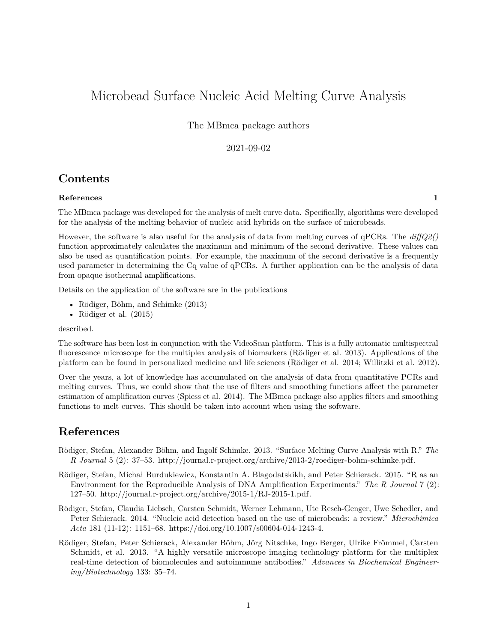# Microbead Surface Nucleic Acid Melting Curve Analysis

The MBmca package authors

#### 2021-09-02

### **Contents**

#### **[References](#page-0-0) 1**

The MBmca package was developed for the analysis of melt curve data. Specifically, algorithms were developed for the analysis of the melting behavior of nucleic acid hybrids on the surface of microbeads.

However, the software is also useful for the analysis of data from melting curves of qPCRs. The *diffQ2()* function approximately calculates the maximum and minimum of the second derivative. These values can also be used as quantification points. For example, the maximum of the second derivative is a frequently used parameter in determining the Cq value of qPCRs. A further application can be the analysis of data from opaque isothermal amplifications.

Details on the application of the software are in the publications

- Rödiger, Böhm, and Schimke (2013)
- Rödiger et al. (2015)

described.

The software has been lost in conjunction with the VideoScan platform. This is a fully automatic multispectral fluorescence microscope for the multiplex analysis of biomarkers (Rödiger et al. 2013). Applications of the platform can be found in personalized medicine and life sciences (Rödiger et al. 2014; Willitzki et al. 2012).

Over the years, a lot of knowledge has accumulated on the analysis of data from quantitative PCRs and melting curves. Thus, we could show that the use of filters and smoothing functions affect the parameter estimation of amplification curves (Spiess et al. 2014). The MBmca package also applies filters and smoothing functions to melt curves. This should be taken into account when using the software.

## <span id="page-0-0"></span>**References**

- Rödiger, Stefan, Alexander Böhm, and Ingolf Schimke. 2013. "Surface Melting Curve Analysis with R." *The R Journal* 5 (2): 37–53. [http://journal.r-project.org/archive/2013-2/roediger-bohm-schimke.pdf.](http://journal.r-project.org/archive/2013-2/roediger-bohm-schimke.pdf)
- Rödiger, Stefan, Michał Burdukiewicz, Konstantin A. Blagodatskikh, and Peter Schierack. 2015. "R as an Environment for the Reproducible Analysis of DNA Amplification Experiments." *The R Journal* 7 (2): 127–50. [http://journal.r-project.org/archive/2015-1/RJ-2015-1.pdf.](http://journal.r-project.org/archive/2015-1/RJ-2015-1.pdf)
- Rödiger, Stefan, Claudia Liebsch, Carsten Schmidt, Werner Lehmann, Ute Resch-Genger, Uwe Schedler, and Peter Schierack. 2014. "Nucleic acid detection based on the use of microbeads: a review." *Microchimica Acta* 181 (11-12): 1151–68. [https://doi.org/10.1007/s00604-014-1243-4.](https://doi.org/10.1007/s00604-014-1243-4)
- Rödiger, Stefan, Peter Schierack, Alexander Böhm, Jörg Nitschke, Ingo Berger, Ulrike Frömmel, Carsten Schmidt, et al. 2013. "A highly versatile microscope imaging technology platform for the multiplex real-time detection of biomolecules and autoimmune antibodies." *Advances in Biochemical Engineering/Biotechnology* 133: 35–74.